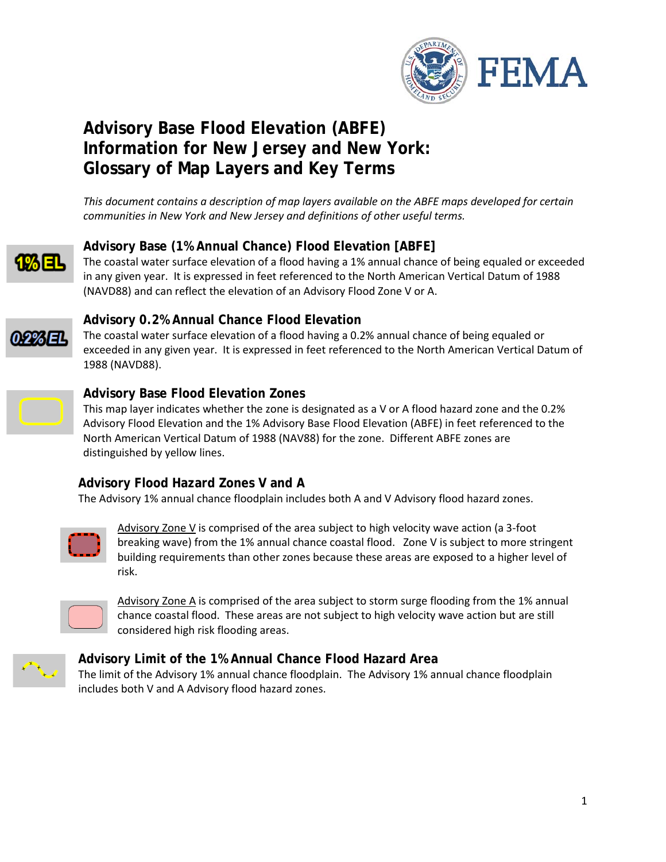

# **Advisory Base Flood Elevation (ABFE) Information for New Jersey and New York: Glossary of Map Layers and Key Terms**

*This document contains a description of map layers available on the ABFE maps developed for certain communities in New York and New Jersey and definitions of other useful terms.*



# **Advisory Base (1% Annual Chance) Flood Elevation [ABFE]**

The coastal water surface elevation of a flood having a 1% annual chance of being equaled or exceeded in any given year. It is expressed in feet referenced to the North American Vertical Datum of 1988 (NAVD88) and can reflect the elevation of an Advisory Flood Zone V or A.



# **Advisory 0.2% Annual Chance Flood Elevation**

The coastal water surface elevation of a flood having a 0.2% annual chance of being equaled or exceeded in any given year. It is expressed in feet referenced to the North American Vertical Datum of 1988 (NAVD88).



#### **Advisory Base Flood Elevation Zones**

This map layer indicates whether the zone is designated as a V or A flood hazard zone and the 0.2% Advisory Flood Elevation and the 1% Advisory Base Flood Elevation (ABFE) in feet referenced to the North American Vertical Datum of 1988 (NAV88) for the zone. Different ABFE zones are distinguished by yellow lines.

## **Advisory Flood Hazard Zones V and A**

The Advisory 1% annual chance floodplain includes both A and V Advisory flood hazard zones.



Advisory Zone V is comprised of the area subject to high velocity wave action (a 3-foot breaking wave) from the 1% annual chance coastal flood. Zone V is subject to more stringent building requirements than other zones because these areas are exposed to a higher level of risk.



Advisory Zone A is comprised of the area subject to storm surge flooding from the 1% annual chance coastal flood. These areas are not subject to high velocity wave action but are still considered high risk flooding areas.



## **Advisory Limit of the 1% Annual Chance Flood Hazard Area**

The limit of the Advisory 1% annual chance floodplain. The Advisory 1% annual chance floodplain includes both V and A Advisory flood hazard zones.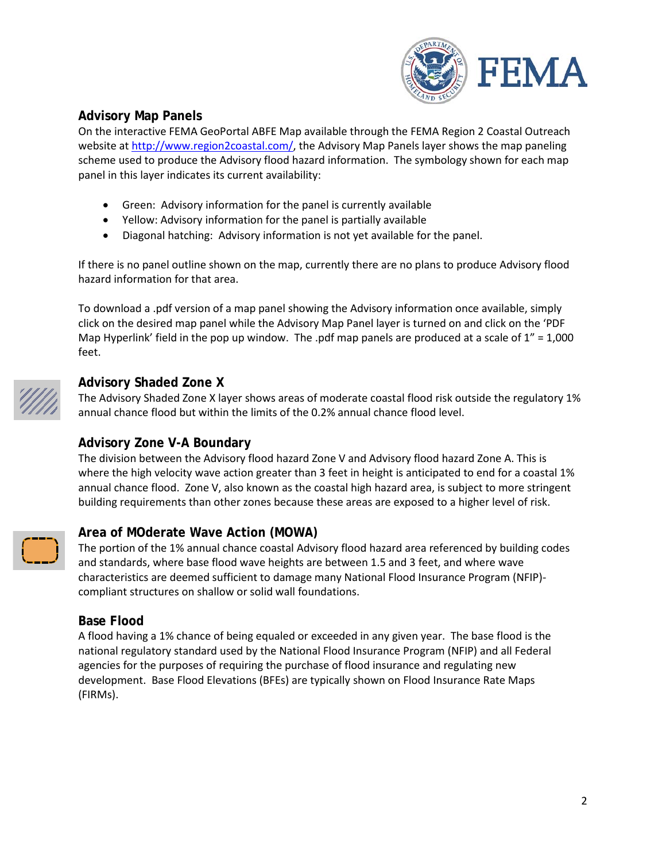

# **Advisory Map Panels**

On the interactive FEMA GeoPortal ABFE Map available through the FEMA Region 2 Coastal Outreach website at [http://www.region2coastal.com/,](http://www.region2coastal.com/) the Advisory Map Panels layer shows the map paneling scheme used to produce the Advisory flood hazard information. The symbology shown for each map panel in this layer indicates its current availability:

- Green: Advisory information for the panel is currently available
- Yellow: Advisory information for the panel is partially available
- Diagonal hatching: Advisory information is not yet available for the panel.

If there is no panel outline shown on the map, currently there are no plans to produce Advisory flood hazard information for that area.

To download a .pdf version of a map panel showing the Advisory information once available, simply click on the desired map panel while the Advisory Map Panel layer is turned on and click on the 'PDF Map Hyperlink' field in the pop up window. The .pdf map panels are produced at a scale of 1" = 1,000 feet.



#### **Advisory Shaded Zone X**

The Advisory Shaded Zone X layer shows areas of moderate coastal flood risk outside the regulatory 1% annual chance flood but within the limits of the 0.2% annual chance flood level.

## **Advisory Zone V-A Boundary**

The division between the Advisory flood hazard Zone V and Advisory flood hazard Zone A. This is where the high velocity wave action greater than 3 feet in height is anticipated to end for a coastal 1% annual chance flood. Zone V, also known as the coastal high hazard area, is subject to more stringent building requirements than other zones because these areas are exposed to a higher level of risk.

## **Area of MOderate Wave Action (MOWA)**

The portion of the 1% annual chance coastal Advisory flood hazard area referenced by building codes and standards, where base flood wave heights are between 1.5 and 3 feet, and where wave characteristics are deemed sufficient to damage many National Flood Insurance Program (NFIP) compliant structures on shallow or solid wall foundations.

#### **Base Flood**

A flood having a 1% chance of being equaled or exceeded in any given year. The base flood is the national regulatory standard used by the National Flood Insurance Program (NFIP) and all Federal agencies for the purposes of requiring the purchase of flood insurance and regulating new development. Base Flood Elevations (BFEs) are typically shown on Flood Insurance Rate Maps (FIRMs).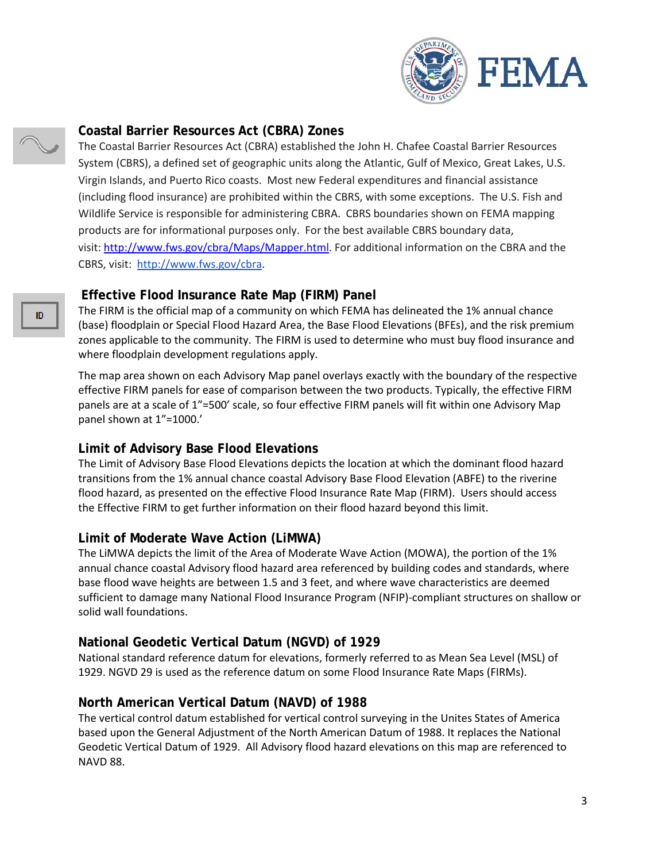

#### **Coastal Barrier Resources Act (CBRA) Zones**

The Coastal Barrier Resources Act (CBRA) established the John H. Chafee Coastal Barrier Resources System (CBRS), a defined set of geographic units along the Atlantic, Gulf of Mexico, Great Lakes, U.S. Virgin Islands, and Puerto Rico coasts. Most new Federal expenditures and financial assistance (including flood insurance) are prohibited within the CBRS, with some exceptions. The U.S. Fish and Wildlife Service is responsible for administering CBRA. CBRS boundaries shown on FEMA mapping products are for informational purposes only. For the best available CBRS boundary data, visit: [http://www.fws.gov/cbra/Maps/Mapper.html.](http://www.fws.gov/cbra/Maps/Mapper.html) For additional information on the CBRA and the CBRS, visit: [http://www.fws.gov/cbra.](http://www.fws.gov/cbra)

#### **Effective Flood Insurance Rate Map (FIRM) Panel**

The FIRM is the official map of a community on which FEMA has delineated the 1% annual chance (base) floodplain or Special Flood Hazard Area, the Base Flood Elevations (BFEs), and the risk premium zones applicable to the community. The FIRM is used to determine who must buy flood insurance and where floodplain development regulations apply.

The map area shown on each Advisory Map panel overlays exactly with the boundary of the respective effective FIRM panels for ease of comparison between the two products. Typically, the effective FIRM panels are at a scale of 1"=500' scale, so four effective FIRM panels will fit within one Advisory Map panel shown at 1"=1000.'

## **Limit of Advisory Base Flood Elevations**

The Limit of Advisory Base Flood Elevations depicts the location at which the dominant flood hazard transitions from the 1% annual chance coastal Advisory Base Flood Elevation (ABFE) to the riverine flood hazard, as presented on the effective Flood Insurance Rate Map (FIRM). Users should access the Effective FIRM to get further information on their flood hazard beyond this limit.

#### **Limit of Moderate Wave Action (LiMWA)**

The LiMWA depicts the limit of the Area of Moderate Wave Action (MOWA), the portion of the 1% annual chance coastal Advisory flood hazard area referenced by building codes and standards, where base flood wave heights are between 1.5 and 3 feet, and where wave characteristics are deemed sufficient to damage many National Flood Insurance Program (NFIP)-compliant structures on shallow or solid wall foundations.

## **National Geodetic Vertical Datum (NGVD) of 1929**

National standard reference datum for elevations, formerly referred to as Mean Sea Level (MSL) of 1929. NGVD 29 is used as the reference datum on some Flood Insurance Rate Maps (FIRMs).

## **North American Vertical Datum (NAVD) of 1988**

The vertical control datum established for vertical control surveying in the Unites States of America based upon the General Adjustment of the North American Datum of 1988. It replaces the National Geodetic Vertical Datum of 1929. All Advisory flood hazard elevations on this map are referenced to NAVD 88.